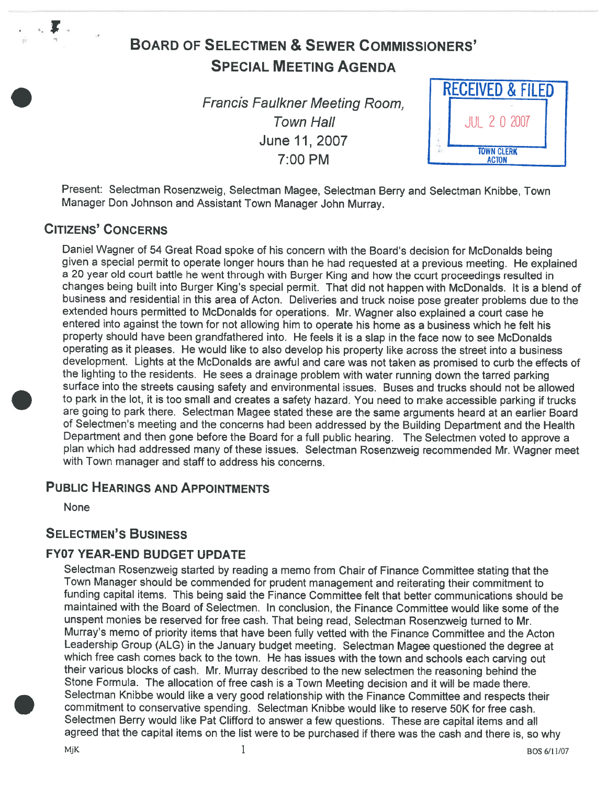

# BOARD OF SELECTMEN & SEWER COMMISSIONERS' SPECIAL MEETING AGENDA

Francis Faulkner Meeting Room, **Town Hall Contract to the United States of the United States 1** JUI 2 0 2007 June 11,2007  $7:00$  PM



Present: Selectman Rosenzweig, Selectman Magee, Selectman Berry and Selectman Knibbe, Town Manager Don Johnson and Assistant Town Manager John Murray.

# CITIZENS' CONCERNS

Daniel Wagner of <sup>54</sup> Great Road spoke of his concern with the Board's decision for McDonalds being <sup>g</sup>iven <sup>a</sup> special permit to operate longer hours than he had requested at <sup>a</sup> previous meeting. He explained <sup>a</sup> <sup>20</sup> year old court battle he went through with Burger King and how the court proceedings resulted in changes being built into Burger King's special permit. That did not happen with McDonalds. It is <sup>a</sup> blend of business and residential in this area of Acton. Deliveries and truck noise pose greater problems due to the extended hours permitted to McDonalds for operations. Mr. Wagner also explained <sup>a</sup> court case he entered into against the town for not allowing him to operate his home as <sup>a</sup> business which he felt his property should have been grandfathered into. He feels it is <sup>a</sup> slap in the face now to see McDonalds operating as it <sup>p</sup>leases. He would like to also develop his property like across the street into <sup>a</sup> business development. Lights at the McDonalds are awful and care was not taken as promised to curb the effects of the lighting to the residents. He sees <sup>a</sup> drainage problem with water running down the tarred parking surface into the streets causing safety and environmental issues. Buses and trucks should not be allowed to par<sup>k</sup> in the lot, it is too small and creates <sup>a</sup> safety hazard. You need to make accessible parking if trucks are going to par<sup>k</sup> there. Selectman Magee stated these are the same arguments heard at an earlier Board of Selectmen's meeting and the concerns had been addressed by the Building Department and the Health Department and then gone before the Board for <sup>a</sup> full public hearing. The Selectmen voted to approve <sup>a</sup> <sup>p</sup>lan which had addressed many of these issues. Selectman Rosenzweig recommended Mr. Wagner meet with Town manager and staff to address his concerns.

#### PUBLIC HEARINGS AND APPOINTMENTS

None

# SELECTMEN'S BUSINESS

# FY07 YEAR-END BUDGET UPDATE

Selectman Rosenzweig started by reading <sup>a</sup> memo from Chair of Finance Committee stating that the Town Manager should be commended for prudent managemen<sup>t</sup> and reiterating their commitment to funding capital items. This being said the Finance Committee felt that better communications should be maintained with the Board of Selectmen. In conclusion, the Finance Committee would like some of the unspen<sup>t</sup> monies be reserved for free cash. That being read, Selectman Rosenzweig turned to Mr. Murray's memo of priority items that have been fully vetted with the Finance Committee and the Acton Leadership Group (ALG) in the January budget meeting. Selectman Magee questioned the degree at which free cash comes back to the town. He has issues with the town and schools each carving out their various blocks of cash. Mr. Murray described to the new selectmen the reasoning behind the Stone Formula. The allocation of free cash is <sup>a</sup> Town Meeting decision and it will be made there. Selectman Knibbe would like <sup>a</sup> very goo<sup>d</sup> relationship with the Finance Committee and respects their commitment to conservative spending. Selectman Knibbe would like to reserve 50K for free cash. Selectmen Berry would like Pat Clifford to answer <sup>a</sup> few questions. These are capital items and all agree<sup>d</sup> that the capital items on the list were to be purchased if there was the cash and there is, so why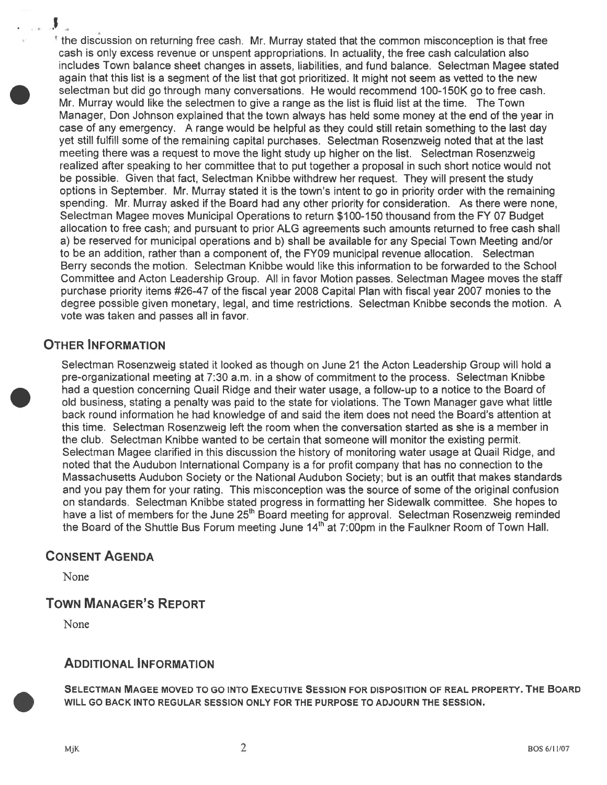the discussion on returning free cash. Mr. Murray stated that the common misconception is that free cash is only excess revenue or unspen<sup>t</sup> appropriations. In actuality, the free cash calculation also includes Town balance sheet changes in assets, liabilities, and fund balance. Selectman Magee stated again that this list is <sup>a</sup> segmen<sup>t</sup> of the list that go<sup>t</sup> prioritized. It might not seem as vetted to the new selectman but did go through many conversations. He would recommend 100-150K go to free cash. Mr. Murray would like the selectmen to give <sup>a</sup> range as the list is fluid list at the time. The Town Manager, Don Johnson explained that the town always has held some money at the end of the year in case of any emergency. A range would be helpful as they could still retain something to the last day ye<sup>t</sup> still fulfill some of the remaining capital purchases. Selectman Rosenzweig noted that at the last meeting there was <sup>a</sup> reques<sup>t</sup> to move the light study up higher on the list. Selectman Rosenzweig realized after speaking to her committee that to pu<sup>t</sup> together <sup>a</sup> proposal in such short notice would not be possible. Given that fact, Selectman Knibbe withdrew her request. They will presen<sup>t</sup> the study options in September. Mr. Murray stated it is the town's intent to go in priority order with the remaining spending. Mr. Murray asked if the Board had any other priority for consideration. As there were none, Selectman Magee moves Municipal Operations to return \$100-150 thousand from the FY 07 Budget allocation to free cash; and pursuan<sup>t</sup> to prior ALG agreements such amounts returned to free cash shall a) be reserved for municipal operations and b) shall be available for any Special Town Meeting and/or to be an addition, rather than <sup>a</sup> componen<sup>t</sup> of, the FY09 municipal revenue allocation. Selectman Berry seconds the motion. Selectman Knibbe would like this information to be forwarded to the School Committee and Acton Leadership Group. All in favor Motion passes. Selectman Magee moves the staff purchase priority items #26-47 of the fiscal year 2008 Capital Plan with fiscal year 2007 monies to the degree possible given monetary, legal, and time restrictions. Selectman Knibbe seconds the motion. A vote was taken and passes all in favor.

#### OTHER INFORMATION

4

Selectman Rosenzweig stated it looked as though on June 21 the Acton Leadership Group will hold <sup>a</sup> pre-organizational meeting at 7:30 a.m. in <sup>a</sup> show of commitment to the process. Selectman Knibbe had <sup>a</sup> question concerning Quail Ridge and their water usage, <sup>a</sup> follow-up to <sup>a</sup> notice to the Board of old business, stating <sup>a</sup> penalty was paid to the state for violations. The Town Manager gave what little back round information he had knowledge of and said the item does not need the Board's attention at this time. Selectman Rosenzweig left the room when the conversation started as she is <sup>a</sup> member in the club. Selectman Knibbe wanted to be certain that someone will monitor the existing permit. Selectman Magee clarified in this discussion the history of monitoring water usage at Quail Ridge, and noted that the Audubon International Company is <sup>a</sup> for profit company that has no connection to the Massachusetts Audubon Society or the National Audubon Society; but is an outfit that makes standards and you pay them for your rating. This misconception was the source of some of the original confusion on standards. Selectman Knibbe stated progress in formatting her Sidewalk committee. She hopes to have a list of members for the June 25<sup>th</sup> Board meeting for approval. Selectman Rosenzweig reminded the Board of the Shuttle Bus Forum meeting June  $14<sup>th</sup>$  at 7:00pm in the Faulkner Room of Town Hall.

# CONSENT AGENDA

None

# TOWN MANAGER'S REPORT

None

# ADDITIONAL INFORMATION

SELECTMAN MAGEE MOVED TO GO INTO EXECUTIVE SESSION FOR DISPOSITION OF REAL PROPERTY. THE BOARD WILL GO BACK INTO REGULAR SESSION ONLY FOR THE PURPOSE TO ADJOURN THE SESSION.